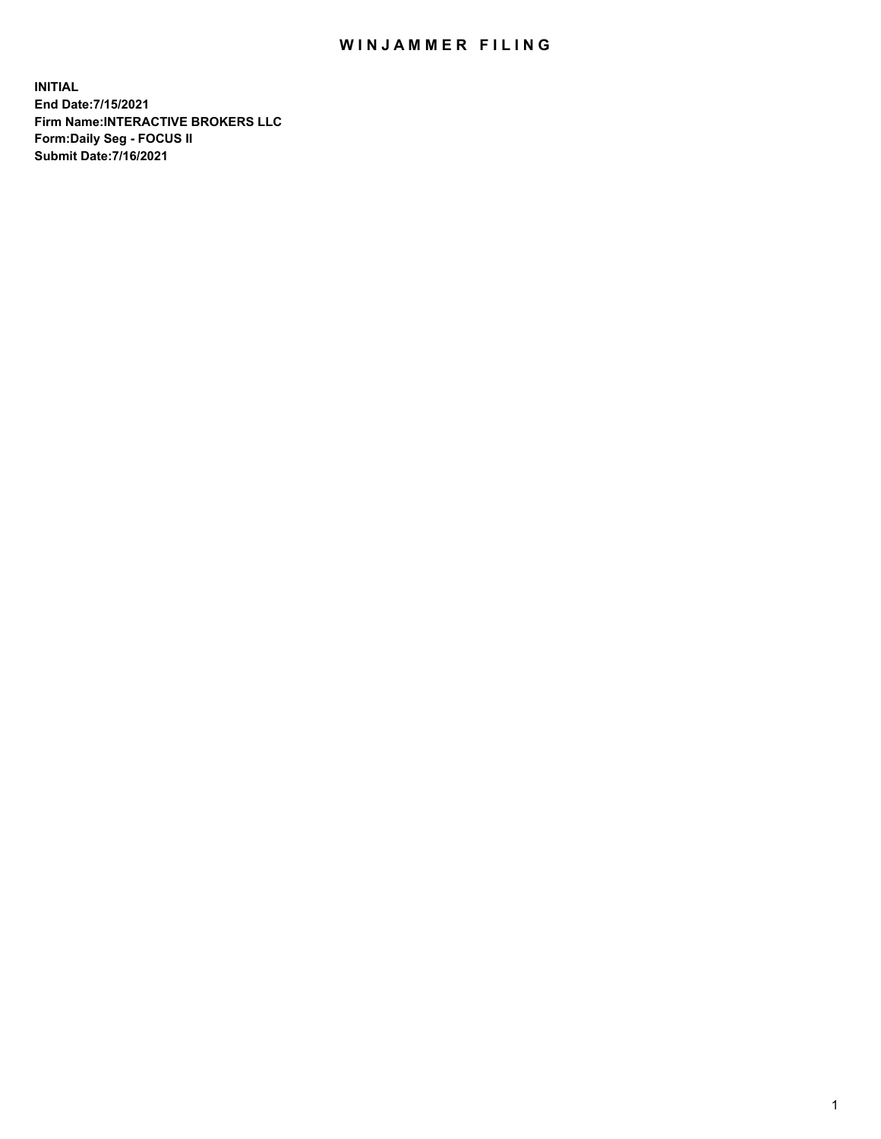## WIN JAMMER FILING

**INITIAL End Date:7/15/2021 Firm Name:INTERACTIVE BROKERS LLC Form:Daily Seg - FOCUS II Submit Date:7/16/2021**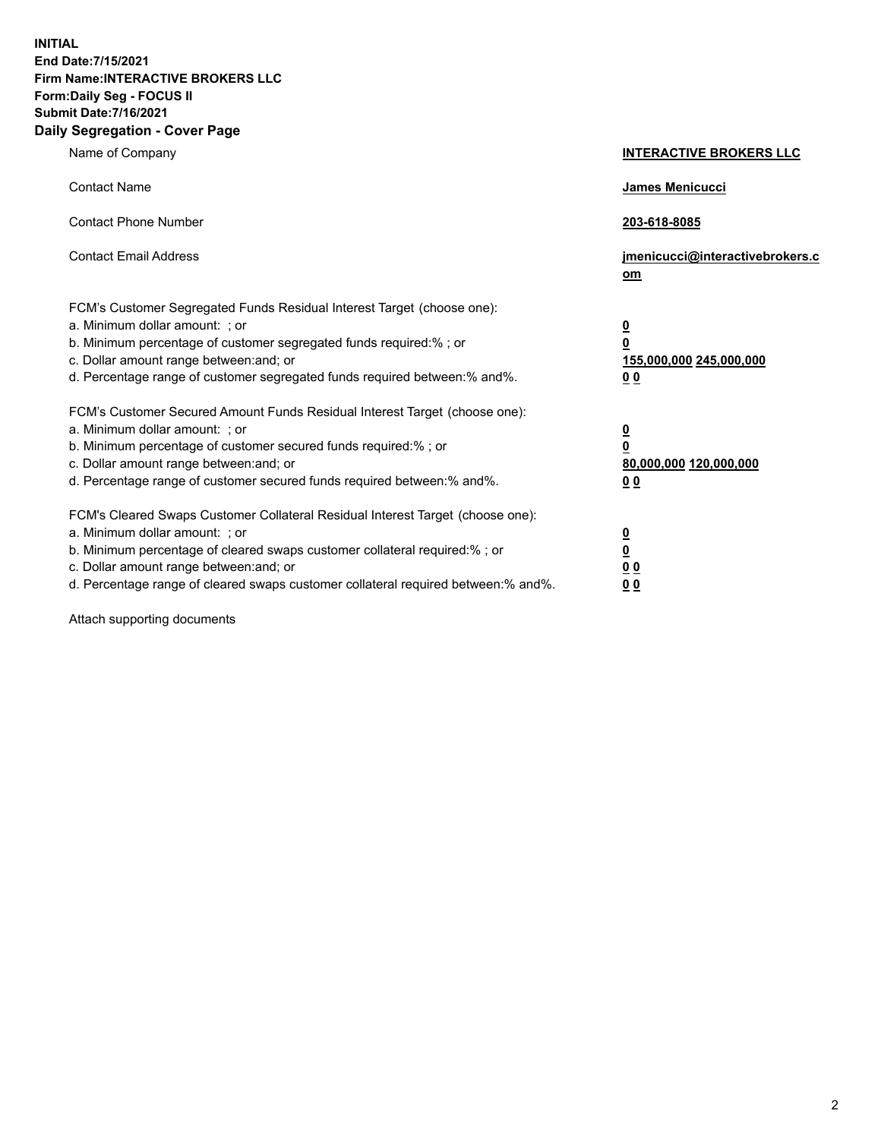**INITIAL End Date:7/15/2021 Firm Name:INTERACTIVE BROKERS LLC Form:Daily Seg - FOCUS II Submit Date:7/16/2021 Daily Segregation - Cover Page**

| Name of Company                                                                                                                                                                                                                                                                                                                | <b>INTERACTIVE BROKERS LLC</b>                                                                  |
|--------------------------------------------------------------------------------------------------------------------------------------------------------------------------------------------------------------------------------------------------------------------------------------------------------------------------------|-------------------------------------------------------------------------------------------------|
| <b>Contact Name</b>                                                                                                                                                                                                                                                                                                            | James Menicucci                                                                                 |
| <b>Contact Phone Number</b>                                                                                                                                                                                                                                                                                                    | 203-618-8085                                                                                    |
| <b>Contact Email Address</b>                                                                                                                                                                                                                                                                                                   | jmenicucci@interactivebrokers.c<br>om                                                           |
| FCM's Customer Segregated Funds Residual Interest Target (choose one):<br>a. Minimum dollar amount: ; or<br>b. Minimum percentage of customer segregated funds required:% ; or<br>c. Dollar amount range between: and; or<br>d. Percentage range of customer segregated funds required between:% and%.                         | $\overline{\mathbf{0}}$<br>$\overline{\mathbf{0}}$<br>155,000,000 245,000,000<br>0 <sub>0</sub> |
| FCM's Customer Secured Amount Funds Residual Interest Target (choose one):<br>a. Minimum dollar amount: ; or<br>b. Minimum percentage of customer secured funds required:% ; or<br>c. Dollar amount range between: and; or<br>d. Percentage range of customer secured funds required between:% and%.                           | $\overline{\mathbf{0}}$<br>0<br>80,000,000 120,000,000<br>0 <sub>0</sub>                        |
| FCM's Cleared Swaps Customer Collateral Residual Interest Target (choose one):<br>a. Minimum dollar amount: ; or<br>b. Minimum percentage of cleared swaps customer collateral required:% ; or<br>c. Dollar amount range between: and; or<br>d. Percentage range of cleared swaps customer collateral required between:% and%. | $\overline{\mathbf{0}}$<br><u>0</u><br>$\underline{0}$ $\underline{0}$<br>00                    |

Attach supporting documents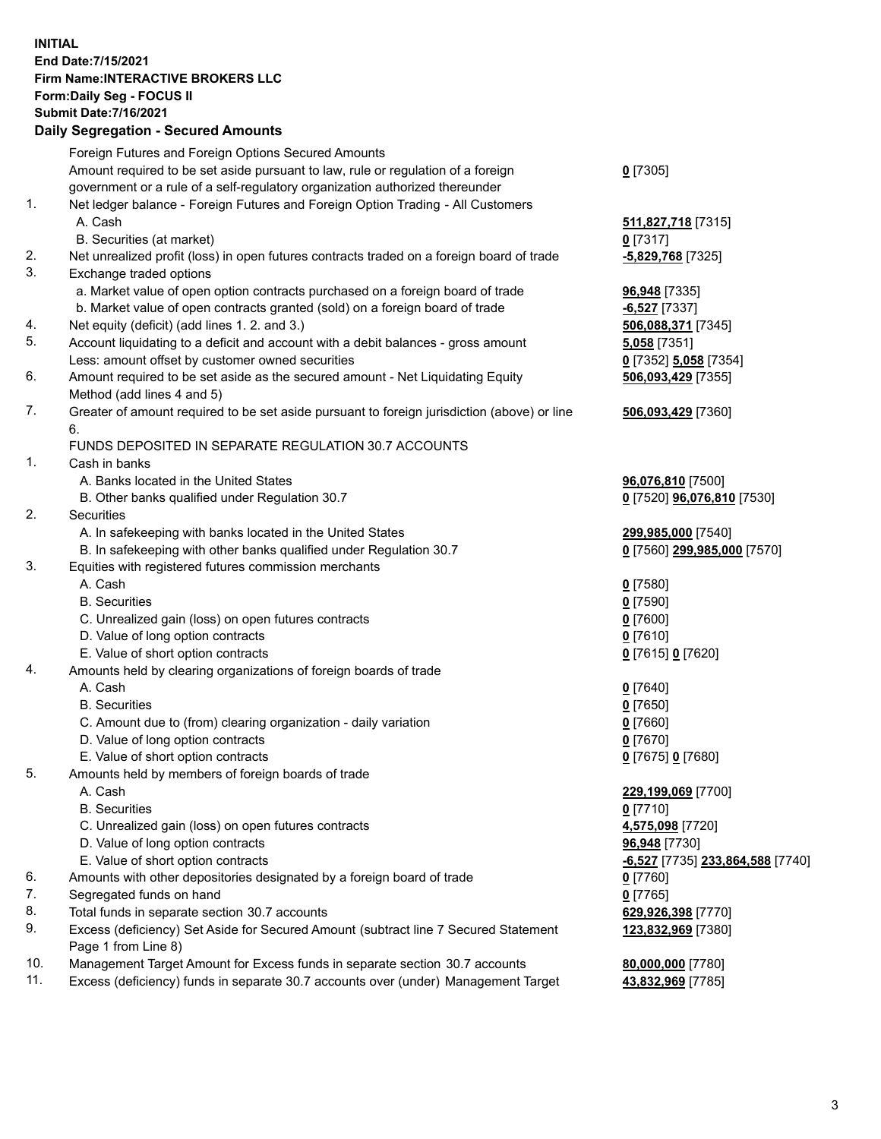**INITIAL End Date:7/15/2021 Firm Name:INTERACTIVE BROKERS LLC Form:Daily Seg - FOCUS II Submit Date:7/16/2021 Daily Segregation - Secured Amounts**

## Foreign Futures and Foreign Options Secured Amounts Amount required to be set aside pursuant to law, rule or regulation of a foreign government or a rule of a self-regulatory organization authorized thereunder **0** [7305] 1. Net ledger balance - Foreign Futures and Foreign Option Trading - All Customers A. Cash **511,827,718** [7315] B. Securities (at market) **0** [7317] 2. Net unrealized profit (loss) in open futures contracts traded on a foreign board of trade **-5,829,768** [7325] 3. Exchange traded options a. Market value of open option contracts purchased on a foreign board of trade **96,948** [7335] b. Market value of open contracts granted (sold) on a foreign board of trade **-6,527** [7337] 4. Net equity (deficit) (add lines 1. 2. and 3.) **506,088,371** [7345] 5. Account liquidating to a deficit and account with a debit balances - gross amount **5,058** [7351] Less: amount offset by customer owned securities **0** [7352] **5,058** [7354] 6. Amount required to be set aside as the secured amount - Net Liquidating Equity Method (add lines 4 and 5) **506,093,429** [7355] 7. Greater of amount required to be set aside pursuant to foreign jurisdiction (above) or line 6. **506,093,429** [7360] FUNDS DEPOSITED IN SEPARATE REGULATION 30.7 ACCOUNTS 1. Cash in banks A. Banks located in the United States **96,076,810** [7500] B. Other banks qualified under Regulation 30.7 **0** [7520] **96,076,810** [7530] 2. Securities A. In safekeeping with banks located in the United States **299,985,000** [7540] B. In safekeeping with other banks qualified under Regulation 30.7 **0** [7560] **299,985,000** [7570] 3. Equities with registered futures commission merchants A. Cash **0** [7580] B. Securities **0** [7590] C. Unrealized gain (loss) on open futures contracts **0** [7600] D. Value of long option contracts **0** [7610] E. Value of short option contracts **0** [7615] **0** [7620] 4. Amounts held by clearing organizations of foreign boards of trade A. Cash **0** [7640] B. Securities **0** [7650] C. Amount due to (from) clearing organization - daily variation **0** [7660] D. Value of long option contracts **0** [7670] E. Value of short option contracts **0** [7675] **0** [7680] 5. Amounts held by members of foreign boards of trade A. Cash **229,199,069** [7700] B. Securities **0** [7710] C. Unrealized gain (loss) on open futures contracts **4,575,098** [7720] D. Value of long option contracts **96,948** [7730] E. Value of short option contracts **-6,527** [7735] **233,864,588** [7740] 6. Amounts with other depositories designated by a foreign board of trade **0** [7760] 7. Segregated funds on hand<br>8. Total funds in separate section 30.7 accounts **0.0 million and COV and COV 629,926,398** [7770] 8. Total funds in separate section 30.7 accounts 9. Excess (deficiency) Set Aside for Secured Amount (subtract line 7 Secured Statement Page 1 from Line 8) **123,832,969** [7380] 10. Management Target Amount for Excess funds in separate section 30.7 accounts **80,000,000** [7780] 11. Excess (deficiency) funds in separate 30.7 accounts over (under) Management Target **43,832,969** [7785]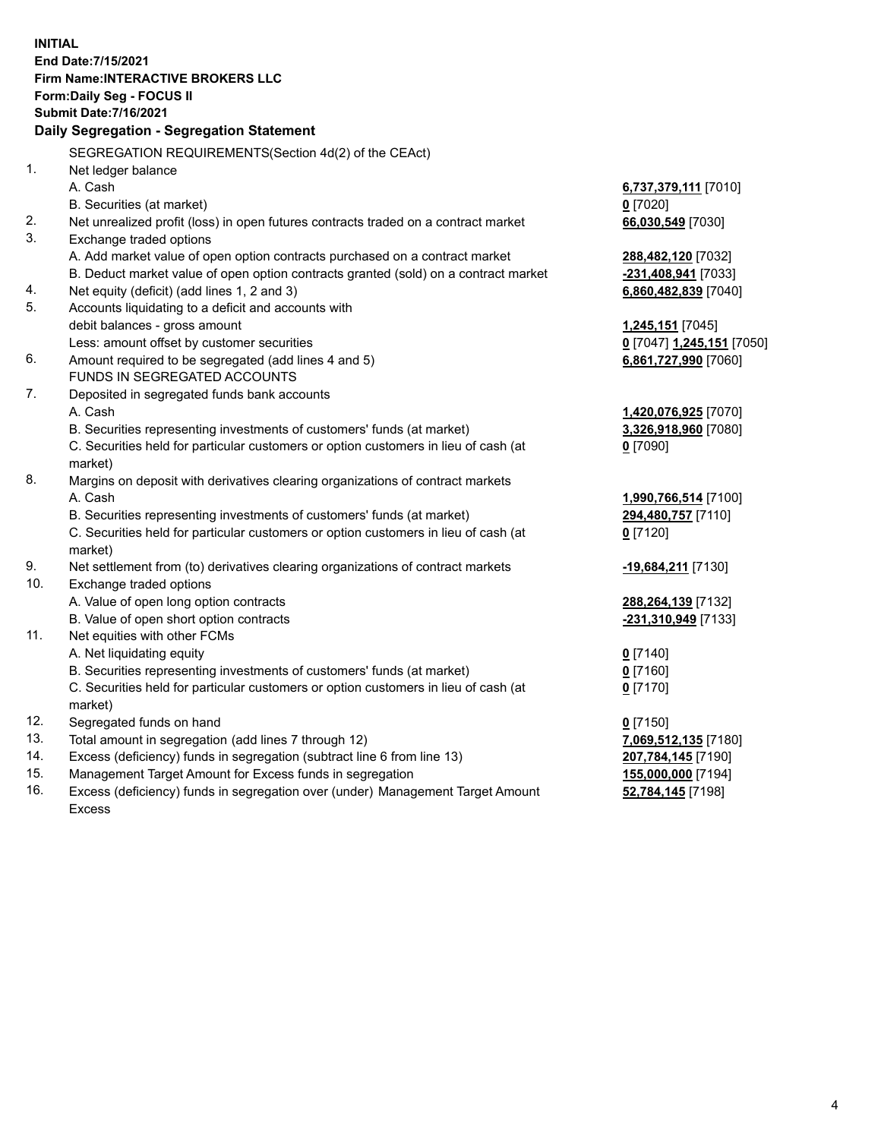**INITIAL End Date:7/15/2021 Firm Name:INTERACTIVE BROKERS LLC Form:Daily Seg - FOCUS II Submit Date:7/16/2021 Daily Segregation - Segregation Statement** SEGREGATION REQUIREMENTS(Section 4d(2) of the CEAct) 1. Net ledger balance A. Cash **6,737,379,111** [7010] B. Securities (at market) **0** [7020] 2. Net unrealized profit (loss) in open futures contracts traded on a contract market **66,030,549** [7030] 3. Exchange traded options A. Add market value of open option contracts purchased on a contract market **288,482,120** [7032] B. Deduct market value of open option contracts granted (sold) on a contract market **-231,408,941** [7033] 4. Net equity (deficit) (add lines 1, 2 and 3) **6,860,482,839** [7040] 5. Accounts liquidating to a deficit and accounts with debit balances - gross amount **1,245,151** [7045] Less: amount offset by customer securities **0** [7047] **1,245,151** [7050] 6. Amount required to be segregated (add lines 4 and 5) **6,861,727,990** [7060] FUNDS IN SEGREGATED ACCOUNTS 7. Deposited in segregated funds bank accounts A. Cash **1,420,076,925** [7070] B. Securities representing investments of customers' funds (at market) **3,326,918,960** [7080] C. Securities held for particular customers or option customers in lieu of cash (at market) **0** [7090] 8. Margins on deposit with derivatives clearing organizations of contract markets A. Cash **1,990,766,514** [7100] B. Securities representing investments of customers' funds (at market) **294,480,757** [7110] C. Securities held for particular customers or option customers in lieu of cash (at market) **0** [7120] 9. Net settlement from (to) derivatives clearing organizations of contract markets **-19,684,211** [7130] 10. Exchange traded options A. Value of open long option contracts **288,264,139** [7132] B. Value of open short option contracts **-231,310,949** [7133] 11. Net equities with other FCMs A. Net liquidating equity **0** [7140] B. Securities representing investments of customers' funds (at market) **0** [7160] C. Securities held for particular customers or option customers in lieu of cash (at market) **0** [7170] 12. Segregated funds on hand **0** [7150] 13. Total amount in segregation (add lines 7 through 12) **7,069,512,135** [7180] 14. Excess (deficiency) funds in segregation (subtract line 6 from line 13) **207,784,145** [7190] 15. Management Target Amount for Excess funds in segregation **155,000,000** [7194] 16. Excess (deficiency) funds in segregation over (under) Management Target Amount **52,784,145** [7198]

Excess